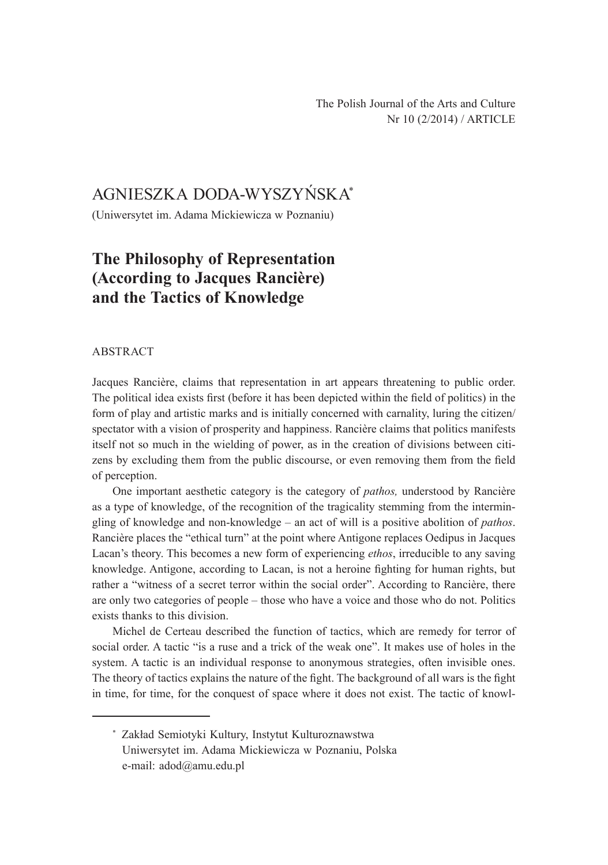# AGNIESZKA DODA-WYSZYŃSKA\*

(Uniwersytet im. Adama Mickiewicza w Poznaniu)

## **The Philosophy of Representation (According to Jacques Rancière) and the Tactics of Knowledge**

#### ABSTRACT

Jacques Rancière, claims that representation in art appears threatening to public order. The political idea exists first (before it has been depicted within the field of politics) in the form of play and artistic marks and is initially concerned with carnality, luring the citizen/ spectator with a vision of prosperity and happiness. Rancière claims that politics manifests itself not so much in the wielding of power, as in the creation of divisions between citizens by excluding them from the public discourse, or even removing them from the field of perception.

One important aesthetic category is the category of *pathos,* understood by Rancière as a type of knowledge, of the recognition of the tragicality stemming from the intermingling of knowledge and non-knowledge – an act of will is a positive abolition of *pathos*. Rancière places the "ethical turn" at the point where Antigone replaces Oedipus in Jacques Lacan's theory. This becomes a new form of experiencing *ethos*, irreducible to any saving knowledge. Antigone, according to Lacan, is not a heroine fighting for human rights, but rather a "witness of a secret terror within the social order". According to Rancière, there are only two categories of people – those who have a voice and those who do not. Politics exists thanks to this division.

Michel de Certeau described the function of tactics, which are remedy for terror of social order. A tactic "is a ruse and a trick of the weak one". It makes use of holes in the system. A tactic is an individual response to anonymous strategies, often invisible ones. The theory of tactics explains the nature of the fight. The background of all wars is the fight in time, for time, for the conquest of space where it does not exist. The tactic of knowl-

<sup>\*</sup> Zakład Semiotyki Kultury, Instytut Kulturoznawstwa Uniwersytet im. Adama Mickiewicza w Poznaniu, Polska e-mail: adod@amu.edu.pl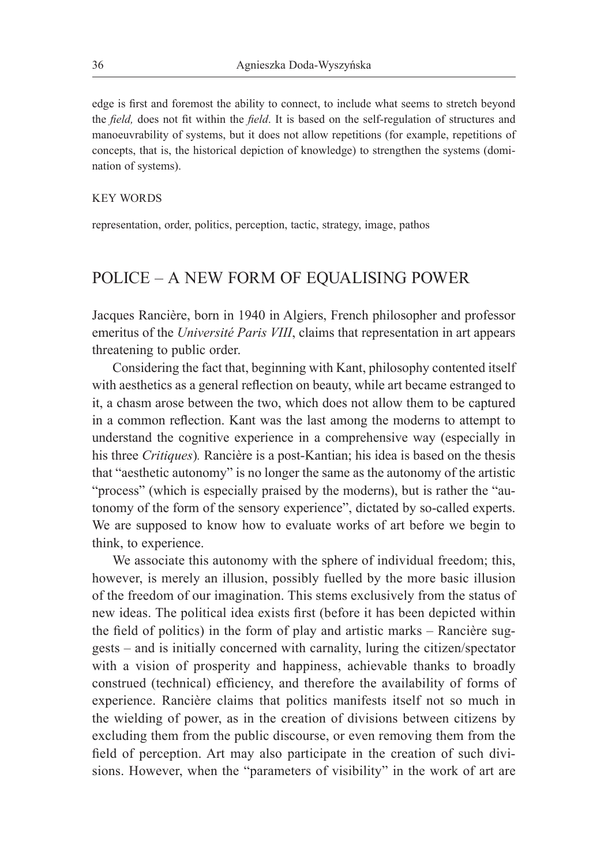edge is first and foremost the ability to connect, to include what seems to stretch beyond the *field,* does not fit within the *field*. It is based on the self-regulation of structures and manoeuvrability of systems, but it does not allow repetitions (for example, repetitions of concepts, that is, the historical depiction of knowledge) to strengthen the systems (domination of systems).

#### KEY WORDS

representation, order, politics, perception, tactic, strategy, image, pathos

## POLICE – A NEW FORM OF EQUALISING POWER

Jacques Rancière, born in 1940 in Algiers, French philosopher and professor emeritus of the *Université Paris VIII*, claims that representation in art appears threatening to public order.

Considering the fact that, beginning with Kant, philosophy contented itself with aesthetics as a general reflection on beauty, while art became estranged to it, a chasm arose between the two, which does not allow them to be captured in a common reflection. Kant was the last among the moderns to attempt to understand the cognitive experience in a comprehensive way (especially in his three *Critiques*)*.* Rancière is a post-Kantian; his idea is based on the thesis that "aesthetic autonomy" is no longer the same as the autonomy of the artistic "process" (which is especially praised by the moderns), but is rather the "autonomy of the form of the sensory experience", dictated by so-called experts. We are supposed to know how to evaluate works of art before we begin to think, to experience.

We associate this autonomy with the sphere of individual freedom; this, however, is merely an illusion, possibly fuelled by the more basic illusion of the freedom of our imagination. This stems exclusively from the status of new ideas. The political idea exists first (before it has been depicted within the field of politics) in the form of play and artistic marks – Rancière suggests – and is initially concerned with carnality, luring the citizen/spectator with a vision of prosperity and happiness, achievable thanks to broadly construed (technical) efficiency, and therefore the availability of forms of experience. Rancière claims that politics manifests itself not so much in the wielding of power, as in the creation of divisions between citizens by excluding them from the public discourse, or even removing them from the field of perception. Art may also participate in the creation of such divisions. However, when the "parameters of visibility" in the work of art are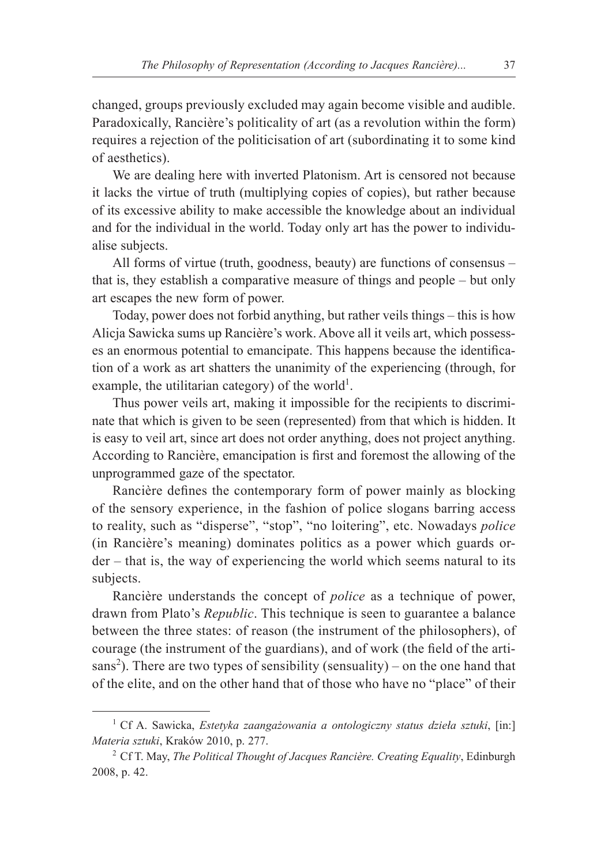changed, groups previously excluded may again become visible and audible. Paradoxically, Rancière's politicality of art (as a revolution within the form) requires a rejection of the politicisation of art (subordinating it to some kind of aesthetics).

We are dealing here with inverted Platonism. Art is censored not because it lacks the virtue of truth (multiplying copies of copies), but rather because of its excessive ability to make accessible the knowledge about an individual and for the individual in the world. Today only art has the power to individualise subjects.

All forms of virtue (truth, goodness, beauty) are functions of consensus – that is, they establish a comparative measure of things and people – but only art escapes the new form of power.

Today, power does not forbid anything, but rather veils things – this is how Alicja Sawicka sums up Rancière's work. Above all it veils art, which possesses an enormous potential to emancipate. This happens because the identification of a work as art shatters the unanimity of the experiencing (through, for example, the utilitarian category) of the world<sup>1</sup>.

Thus power veils art, making it impossible for the recipients to discriminate that which is given to be seen (represented) from that which is hidden. It is easy to veil art, since art does not order anything, does not project anything. According to Rancière, emancipation is first and foremost the allowing of the unprogrammed gaze of the spectator.

Rancière defines the contemporary form of power mainly as blocking of the sensory experience, in the fashion of police slogans barring access to reality, such as "disperse", "stop", "no loitering", etc. Nowadays *police* (in Rancière's meaning) dominates politics as a power which guards order – that is, the way of experiencing the world which seems natural to its subjects.

Rancière understands the concept of *police* as a technique of power, drawn from Plato's *Republic*. This technique is seen to guarantee a balance between the three states: of reason (the instrument of the philosophers), of courage (the instrument of the guardians), and of work (the field of the artisans<sup>2</sup>). There are two types of sensibility (sensuality) – on the one hand that of the elite, and on the other hand that of those who have no "place" of their

<sup>1</sup> Cf A. Sawicka, *Estetyka zaangażowania a ontologiczny status dzieła sztuki*, [in:] *Materia sztuki*, Kraków 2010, p. 277.

<sup>2</sup> Cf T. May, *The Political Thought of Jacques Rancière. Creating Equality*, Edinburgh 2008, p. 42.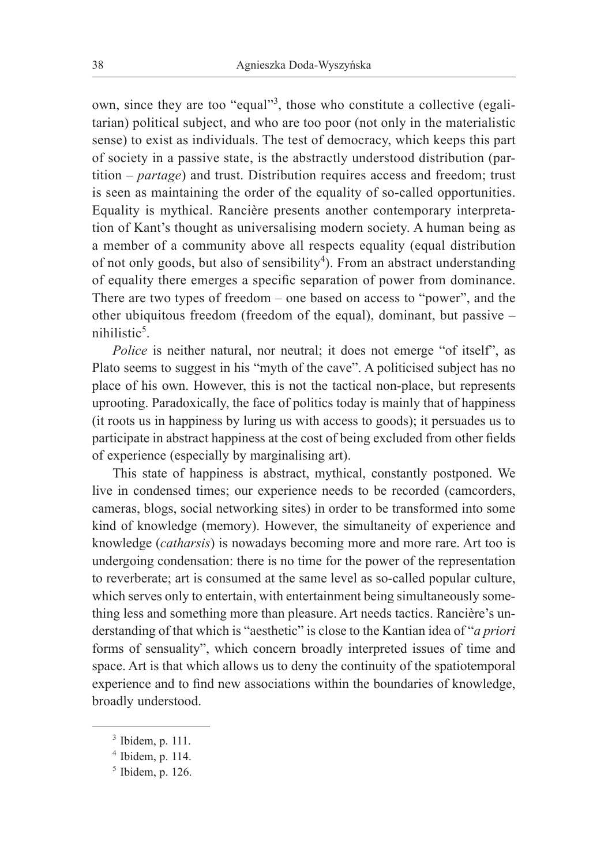own, since they are too "equal"<sup>3</sup>, those who constitute a collective (egalitarian) political subject, and who are too poor (not only in the materialistic sense) to exist as individuals. The test of democracy, which keeps this part of society in a passive state, is the abstractly understood distribution (partition – *partage*) and trust. Distribution requires access and freedom; trust is seen as maintaining the order of the equality of so-called opportunities. Equality is mythical. Rancière presents another contemporary interpretation of Kant's thought as universalising modern society. A human being as a member of a community above all respects equality (equal distribution of not only goods, but also of sensibility<sup>4</sup>). From an abstract understanding of equality there emerges a specific separation of power from dominance. There are two types of freedom – one based on access to "power", and the other ubiquitous freedom (freedom of the equal), dominant, but passive – nihilistic<sup>5</sup>.

*Police* is neither natural, nor neutral; it does not emerge "of itself", as Plato seems to suggest in his "myth of the cave". A politicised subject has no place of his own. However, this is not the tactical non-place, but represents uprooting. Paradoxically, the face of politics today is mainly that of happiness (it roots us in happiness by luring us with access to goods); it persuades us to participate in abstract happiness at the cost of being excluded from other fields of experience (especially by marginalising art).

This state of happiness is abstract, mythical, constantly postponed. We live in condensed times; our experience needs to be recorded (camcorders, cameras, blogs, social networking sites) in order to be transformed into some kind of knowledge (memory). However, the simultaneity of experience and knowledge (*catharsis*) is nowadays becoming more and more rare. Art too is undergoing condensation: there is no time for the power of the representation to reverberate; art is consumed at the same level as so-called popular culture, which serves only to entertain, with entertainment being simultaneously something less and something more than pleasure. Art needs tactics. Rancière's understanding of that which is "aesthetic" is close to the Kantian idea of "*a priori* forms of sensuality", which concern broadly interpreted issues of time and space. Art is that which allows us to deny the continuity of the spatiotemporal experience and to find new associations within the boundaries of knowledge, broadly understood.

 $3$  Ibidem, p. 111.

<sup>4</sup> Ibidem, p. 114.

 $<sup>5</sup>$  Ibidem, p. 126.</sup>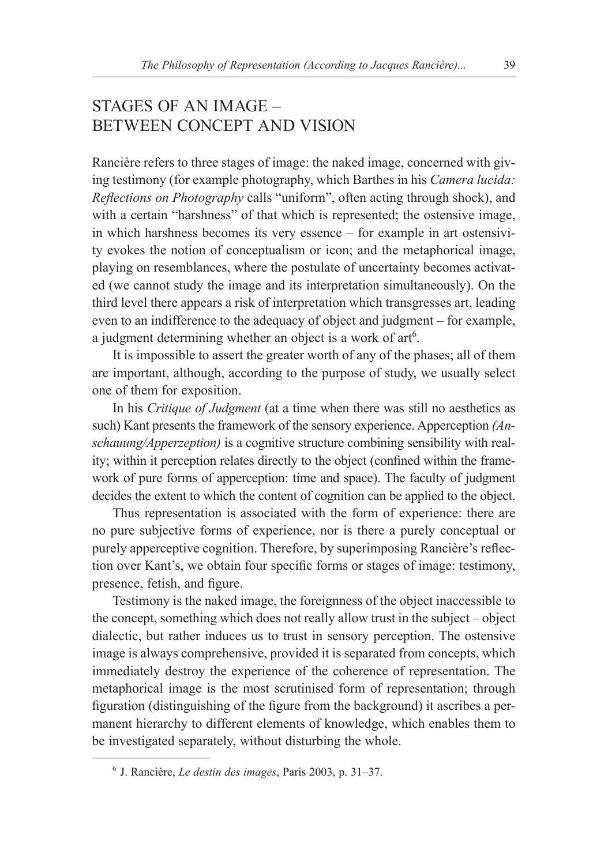## STAGES OF AN IMAGE – BETWEEN CONCEPT AND VISION

Rancière refers to three stages of image: the naked image, concerned with giving testimony (for example photography, which Barthes in his *Camera lucida: Reflections on Photography* calls "uniform", often acting through shock), and with a certain "harshness" of that which is represented; the ostensive image, in which harshness becomes its very essence – for example in art ostensivity evokes the notion of conceptualism or icon; and the metaphorical image, playing on resemblances, where the postulate of uncertainty becomes activated (we cannot study the image and its interpretation simultaneously). On the third level there appears a risk of interpretation which transgresses art, leading even to an indifference to the adequacy of object and judgment – for example, a judgment determining whether an object is a work of  $art^6$ .

It is impossible to assert the greater worth of any of the phases; all of them are important, although, according to the purpose of study, we usually select one of them for exposition.

In his *Critique of Judgment* (at a time when there was still no aesthetics as such) Kant presents the framework of the sensory experience. Apperception *(Anschauung/Apperzeption)* is a cognitive structure combining sensibility with reality; within it perception relates directly to the object (confined within the framework of pure forms of apperception: time and space). The faculty of judgment decides the extent to which the content of cognition can be applied to the object.

Thus representation is associated with the form of experience: there are no pure subjective forms of experience, nor is there a purely conceptual or purely apperceptive cognition. Therefore, by superimposing Rancière's reflection over Kant's, we obtain four specific forms or stages of image: testimony, presence, fetish, and figure.

Testimony is the naked image, the foreignness of the object inaccessible to the concept, something which does not really allow trust in the subject – object dialectic, but rather induces us to trust in sensory perception. The ostensive image is always comprehensive, provided it is separated from concepts, which immediately destroy the experience of the coherence of representation. The metaphorical image is the most scrutinised form of representation; through figuration (distinguishing of the figure from the background) it ascribes a permanent hierarchy to different elements of knowledge, which enables them to be investigated separately, without disturbing the whole.

<sup>6</sup> J. Rancière, *Le destin des images*, Paris 2003, p. 31–37.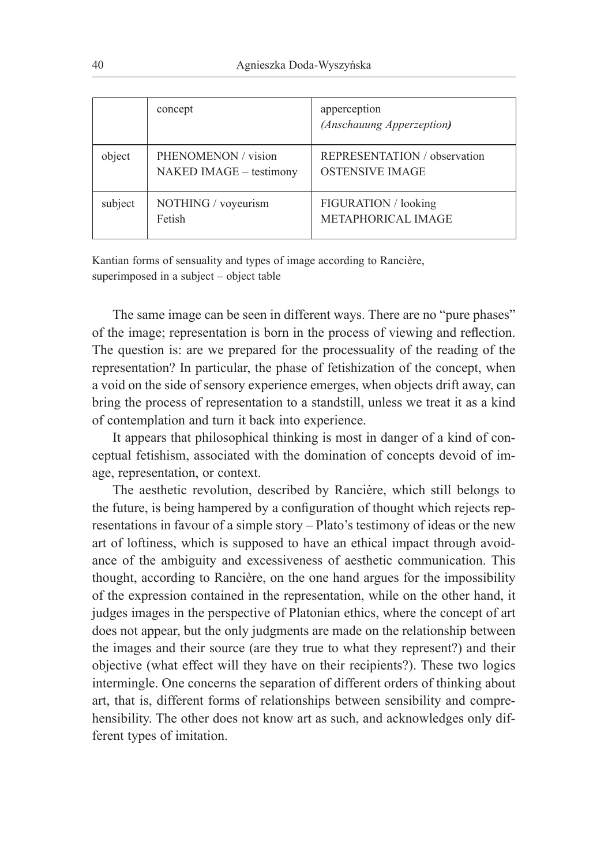|         | concept                                        | apperception<br>(Anschauung Apperzeption)              |
|---------|------------------------------------------------|--------------------------------------------------------|
| object  | PHENOMENON / vision<br>NAKED IMAGE - testimony | REPRESENTATION / observation<br><b>OSTENSIVE IMAGE</b> |
| subject | NOTHING / voyeurism<br>Fetish                  | FIGURATION / looking<br>METAPHORICAL IMAGE             |

Kantian forms of sensuality and types of image according to Rancière, superimposed in a subject – object table

The same image can be seen in different ways. There are no "pure phases" of the image; representation is born in the process of viewing and reflection. The question is: are we prepared for the processuality of the reading of the representation? In particular, the phase of fetishization of the concept, when a void on the side of sensory experience emerges, when objects drift away, can bring the process of representation to a standstill, unless we treat it as a kind of contemplation and turn it back into experience.

It appears that philosophical thinking is most in danger of a kind of conceptual fetishism, associated with the domination of concepts devoid of image, representation, or context.

The aesthetic revolution, described by Rancière, which still belongs to the future, is being hampered by a configuration of thought which rejects representations in favour of a simple story – Plato's testimony of ideas or the new art of loftiness, which is supposed to have an ethical impact through avoidance of the ambiguity and excessiveness of aesthetic communication. This thought, according to Rancière, on the one hand argues for the impossibility of the expression contained in the representation, while on the other hand, it judges images in the perspective of Platonian ethics, where the concept of art does not appear, but the only judgments are made on the relationship between the images and their source (are they true to what they represent?) and their objective (what effect will they have on their recipients?). These two logics intermingle. One concerns the separation of different orders of thinking about art, that is, different forms of relationships between sensibility and comprehensibility. The other does not know art as such, and acknowledges only different types of imitation.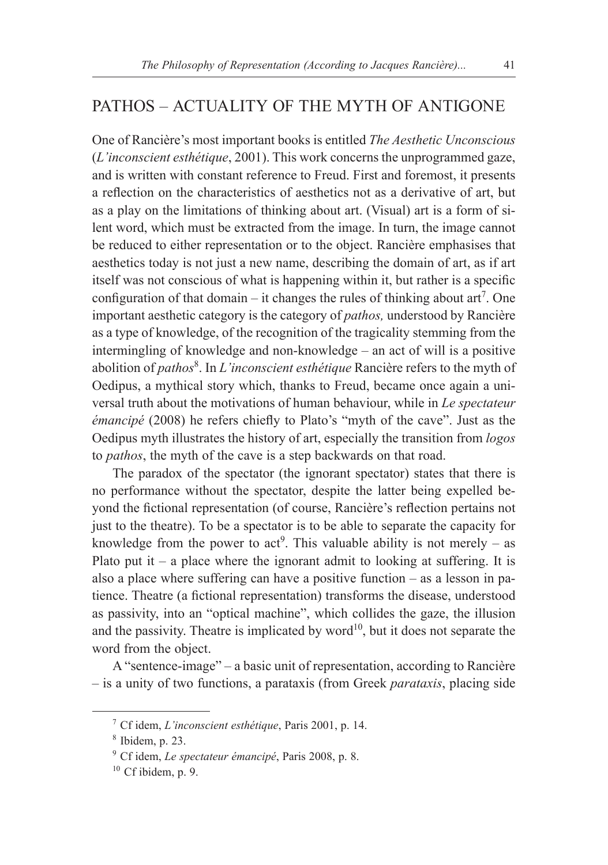## PATHOS – ACTUALITY OF THE MYTH OF ANTIGONE

One of Rancière's most important books is entitled *The Aesthetic Unconscious*  (*L'inconscient esthétique*, 2001). This work concerns the unprogrammed gaze, and is written with constant reference to Freud. First and foremost, it presents a reflection on the characteristics of aesthetics not as a derivative of art, but as a play on the limitations of thinking about art. (Visual) art is a form of silent word, which must be extracted from the image. In turn, the image cannot be reduced to either representation or to the object. Rancière emphasises that aesthetics today is not just a new name, describing the domain of art, as if art itself was not conscious of what is happening within it, but rather is a specific configuration of that domain – it changes the rules of thinking about art<sup>7</sup>. One important aesthetic category is the category of *pathos,* understood by Rancière as a type of knowledge, of the recognition of the tragicality stemming from the intermingling of knowledge and non-knowledge – an act of will is a positive abolition of *pathos*<sup>8</sup> . In *L'inconscient esthétique* Rancière refers to the myth of Oedipus, a mythical story which, thanks to Freud, became once again a universal truth about the motivations of human behaviour, while in *Le spectateur émancipé* (2008) he refers chiefly to Plato's "myth of the cave". Just as the Oedipus myth illustrates the history of art, especially the transition from *logos* to *pathos*, the myth of the cave is a step backwards on that road.

The paradox of the spectator (the ignorant spectator) states that there is no performance without the spectator, despite the latter being expelled beyond the fictional representation (of course, Rancière's reflection pertains not just to the theatre). To be a spectator is to be able to separate the capacity for knowledge from the power to act<sup>9</sup>. This valuable ability is not merely – as Plato put it – a place where the ignorant admit to looking at suffering. It is also a place where suffering can have a positive function – as a lesson in patience. Theatre (a fictional representation) transforms the disease, understood as passivity, into an "optical machine", which collides the gaze, the illusion and the passivity. Theatre is implicated by word<sup>10</sup>, but it does not separate the word from the object.

A "sentence-image" – a basic unit of representation, according to Rancière – is a unity of two functions, a parataxis (from Greek *parataxis*, placing side

<sup>7</sup> Cf idem, *L'inconscient esthétique*, Paris 2001, p. 14.

<sup>8</sup> Ibidem, p. 23.

<sup>9</sup> Cf idem, *Le spectateur émancipé*, Paris 2008, p. 8.

 $10$  Cf ibidem, p. 9.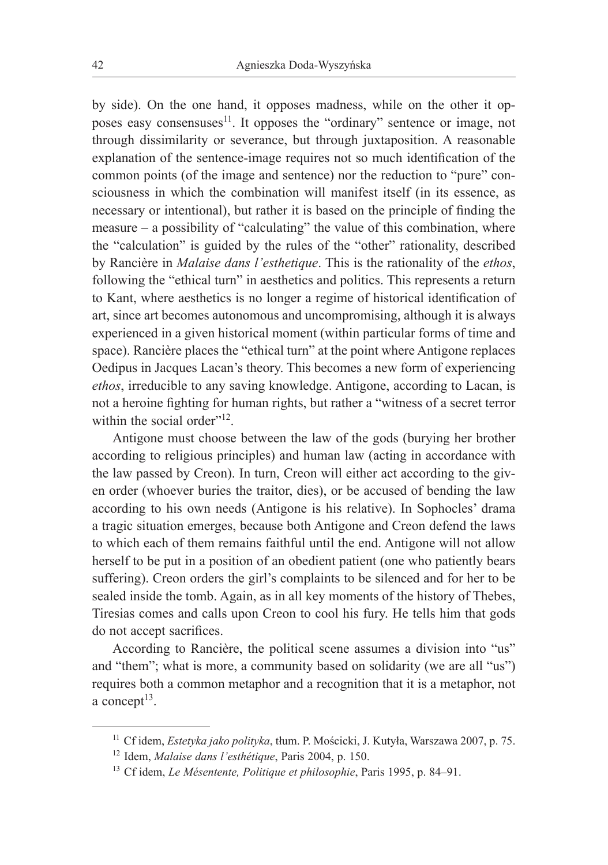by side). On the one hand, it opposes madness, while on the other it opposes easy consensuses<sup>11</sup>. It opposes the "ordinary" sentence or image, not through dissimilarity or severance, but through juxtaposition. A reasonable explanation of the sentence-image requires not so much identification of the common points (of the image and sentence) nor the reduction to "pure" consciousness in which the combination will manifest itself (in its essence, as necessary or intentional), but rather it is based on the principle of finding the measure – a possibility of "calculating" the value of this combination, where the "calculation" is guided by the rules of the "other" rationality, described by Rancière in *Malaise dans l'esthetique*. This is the rationality of the *ethos*, following the "ethical turn" in aesthetics and politics. This represents a return to Kant, where aesthetics is no longer a regime of historical identification of art, since art becomes autonomous and uncompromising, although it is always experienced in a given historical moment (within particular forms of time and space). Rancière places the "ethical turn" at the point where Antigone replaces Oedipus in Jacques Lacan's theory. This becomes a new form of experiencing *ethos*, irreducible to any saving knowledge. Antigone, according to Lacan, is not a heroine fighting for human rights, but rather a "witness of a secret terror within the social order"<sup>12</sup>.

Antigone must choose between the law of the gods (burying her brother according to religious principles) and human law (acting in accordance with the law passed by Creon). In turn, Creon will either act according to the given order (whoever buries the traitor, dies), or be accused of bending the law according to his own needs (Antigone is his relative). In Sophocles' drama a tragic situation emerges, because both Antigone and Creon defend the laws to which each of them remains faithful until the end. Antigone will not allow herself to be put in a position of an obedient patient (one who patiently bears suffering). Creon orders the girl's complaints to be silenced and for her to be sealed inside the tomb. Again, as in all key moments of the history of Thebes, Tiresias comes and calls upon Creon to cool his fury. He tells him that gods do not accept sacrifices.

According to Rancière, the political scene assumes a division into "us" and "them"; what is more, a community based on solidarity (we are all "us") requires both a common metaphor and a recognition that it is a metaphor, not a concept $13$ .

<sup>11</sup> Cf idem, *Estetyka jako polityka*, tłum. P. Mościcki, J. Kutyła, Warszawa 2007, p. 75.

<sup>12</sup> Idem, *Malaise dans l'esthétique*, Paris 2004, p. 150.

<sup>13</sup> Cf idem, *Le Mésentente, Politique et philosophie*, Paris 1995, p. 84–91.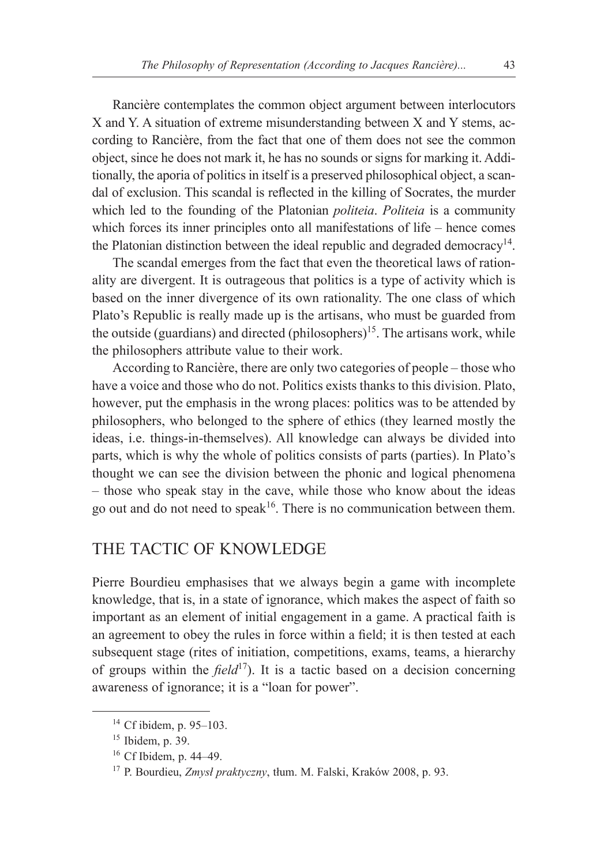Rancière contemplates the common object argument between interlocutors X and Y. A situation of extreme misunderstanding between X and Y stems, according to Rancière, from the fact that one of them does not see the common object, since he does not mark it, he has no sounds or signs for marking it. Additionally, the aporia of politics in itself is a preserved philosophical object, a scandal of exclusion. This scandal is reflected in the killing of Socrates, the murder which led to the founding of the Platonian *politeia*. *Politeia* is a community which forces its inner principles onto all manifestations of life – hence comes the Platonian distinction between the ideal republic and degraded democracy<sup>14</sup>.

The scandal emerges from the fact that even the theoretical laws of rationality are divergent. It is outrageous that politics is a type of activity which is based on the inner divergence of its own rationality. The one class of which Plato's Republic is really made up is the artisans, who must be guarded from the outside (guardians) and directed (philosophers)<sup>15</sup>. The artisans work, while the philosophers attribute value to their work.

According to Rancière, there are only two categories of people – those who have a voice and those who do not. Politics exists thanks to this division. Plato, however, put the emphasis in the wrong places: politics was to be attended by philosophers, who belonged to the sphere of ethics (they learned mostly the ideas, i.e. things-in-themselves). All knowledge can always be divided into parts, which is why the whole of politics consists of parts (parties). In Plato's thought we can see the division between the phonic and logical phenomena – those who speak stay in the cave, while those who know about the ideas go out and do not need to speak<sup>16</sup>. There is no communication between them.

## THE TACTIC OF KNOWLEDGE

Pierre Bourdieu emphasises that we always begin a game with incomplete knowledge, that is, in a state of ignorance, which makes the aspect of faith so important as an element of initial engagement in a game. A practical faith is an agreement to obey the rules in force within a field; it is then tested at each subsequent stage (rites of initiation, competitions, exams, teams, a hierarchy of groups within the *field*17). It is a tactic based on a decision concerning awareness of ignorance; it is a "loan for power".

<sup>14</sup> Cf ibidem, p. 95–103.

<sup>15</sup> Ibidem, p. 39.

<sup>16</sup> Cf Ibidem, p. 44–49.

<sup>17</sup> P. Bourdieu, *Zmysł praktyczny*, tłum. M. Falski, Kraków 2008, p. 93.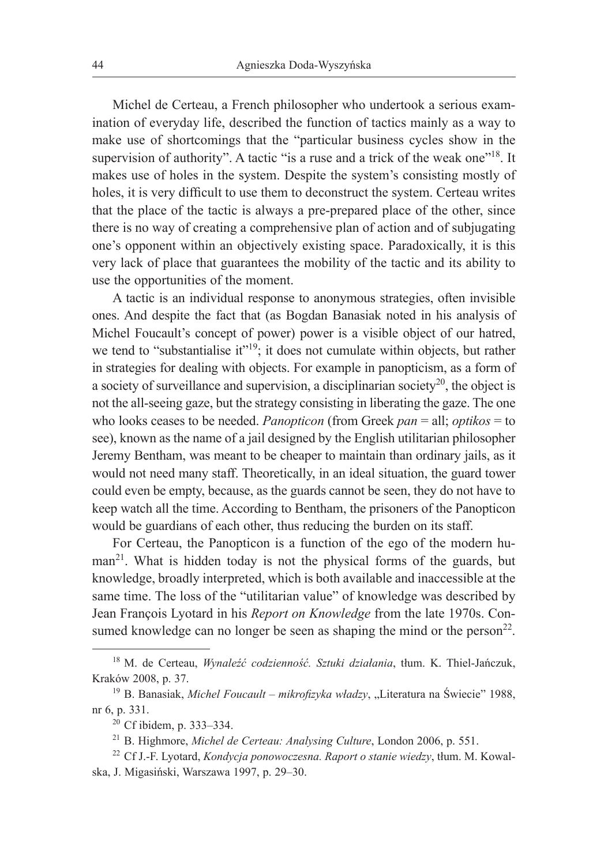Michel de Certeau, a French philosopher who undertook a serious examination of everyday life, described the function of tactics mainly as a way to make use of shortcomings that the "particular business cycles show in the supervision of authority". A tactic "is a ruse and a trick of the weak one"<sup>18</sup>. It makes use of holes in the system. Despite the system's consisting mostly of holes, it is very difficult to use them to deconstruct the system. Certeau writes that the place of the tactic is always a pre-prepared place of the other, since there is no way of creating a comprehensive plan of action and of subjugating one's opponent within an objectively existing space. Paradoxically, it is this very lack of place that guarantees the mobility of the tactic and its ability to use the opportunities of the moment.

A tactic is an individual response to anonymous strategies, often invisible ones. And despite the fact that (as Bogdan Banasiak noted in his analysis of Michel Foucault's concept of power) power is a visible object of our hatred, we tend to "substantialise it"<sup>19</sup>; it does not cumulate within objects, but rather in strategies for dealing with objects. For example in panopticism, as a form of a society of surveillance and supervision, a disciplinarian society $^{20}$ , the object is not the all-seeing gaze, but the strategy consisting in liberating the gaze. The one who looks ceases to be needed. *Panopticon* (from Greek *pan* = all; *optikos* = to see), known as the name of a jail designed by the English utilitarian philosopher Jeremy Bentham, was meant to be cheaper to maintain than ordinary jails, as it would not need many staff. Theoretically, in an ideal situation, the guard tower could even be empty, because, as the guards cannot be seen, they do not have to keep watch all the time. According to Bentham, the prisoners of the Panopticon would be guardians of each other, thus reducing the burden on its staff.

For Certeau, the Panopticon is a function of the ego of the modern human<sup>21</sup>. What is hidden today is not the physical forms of the guards, but knowledge, broadly interpreted, which is both available and inaccessible at the same time. The loss of the "utilitarian value" of knowledge was described by Jean François Lyotard in his *Report on Knowledge* from the late 1970s. Consumed knowledge can no longer be seen as shaping the mind or the person<sup>22</sup>.

<sup>18</sup> M. de Certeau, *Wynaleźć codzienność. Sztuki działania*, tłum. K. Thiel-Jańczuk, Kraków 2008, p. 37.

<sup>&</sup>lt;sup>19</sup> B. Banasiak, *Michel Foucault – mikrofizyka władzy*, "Literatura na Świecie" 1988, nr 6, p. 331.

<sup>20</sup> Cf ibidem, p. 333–334.

<sup>21</sup> B. Highmore, *Michel de Certeau: Analysing Culture*, London 2006, p. 551.

<sup>22</sup> Cf J.-F. Lyotard, *Kondycja ponowoczesna. Raport o stanie wiedzy*, tłum. M. Kowalska, J. Migasiński, Warszawa 1997, p. 29–30.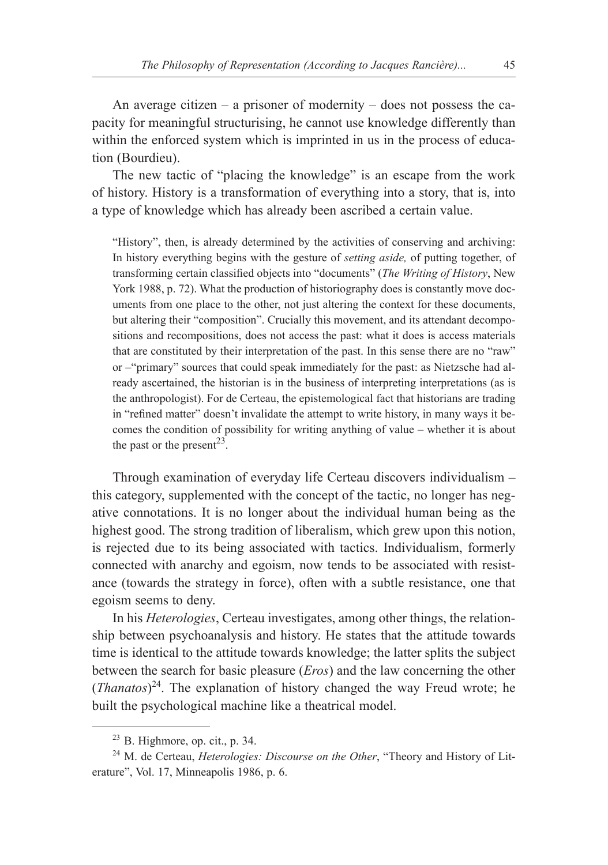An average citizen – a prisoner of modernity – does not possess the capacity for meaningful structurising, he cannot use knowledge differently than within the enforced system which is imprinted in us in the process of education (Bourdieu).

The new tactic of "placing the knowledge" is an escape from the work of history. History is a transformation of everything into a story, that is, into a type of knowledge which has already been ascribed a certain value.

"History", then, is already determined by the activities of conserving and archiving: In history everything begins with the gesture of *setting aside,* of putting together, of transforming certain classified objects into "documents" (*The Writing of History*, New York 1988, p. 72). What the production of historiography does is constantly move documents from one place to the other, not just altering the context for these documents, but altering their "composition". Crucially this movement, and its attendant decompositions and recompositions, does not access the past: what it does is access materials that are constituted by their interpretation of the past. In this sense there are no "raw" or –"primary" sources that could speak immediately for the past: as Nietzsche had already ascertained, the historian is in the business of interpreting interpretations (as is the anthropologist). For de Certeau, the epistemological fact that historians are trading in "refined matter" doesn't invalidate the attempt to write history, in many ways it becomes the condition of possibility for writing anything of value – whether it is about the past or the present<sup>23</sup>.

Through examination of everyday life Certeau discovers individualism – this category, supplemented with the concept of the tactic, no longer has negative connotations. It is no longer about the individual human being as the highest good. The strong tradition of liberalism, which grew upon this notion, is rejected due to its being associated with tactics. Individualism, formerly connected with anarchy and egoism, now tends to be associated with resistance (towards the strategy in force), often with a subtle resistance, one that egoism seems to deny.

In his *Heterologies*, Certeau investigates, among other things, the relationship between psychoanalysis and history. He states that the attitude towards time is identical to the attitude towards knowledge; the latter splits the subject between the search for basic pleasure (*Eros*) and the law concerning the other (*Thanatos*) 24. The explanation of history changed the way Freud wrote; he built the psychological machine like a theatrical model.

 $23$  B. Highmore, op. cit., p. 34.

<sup>24</sup> M. de Certeau, *Heterologies: Discourse on the Other*, "Theory and History of Literature", Vol. 17, Minneapolis 1986, p. 6.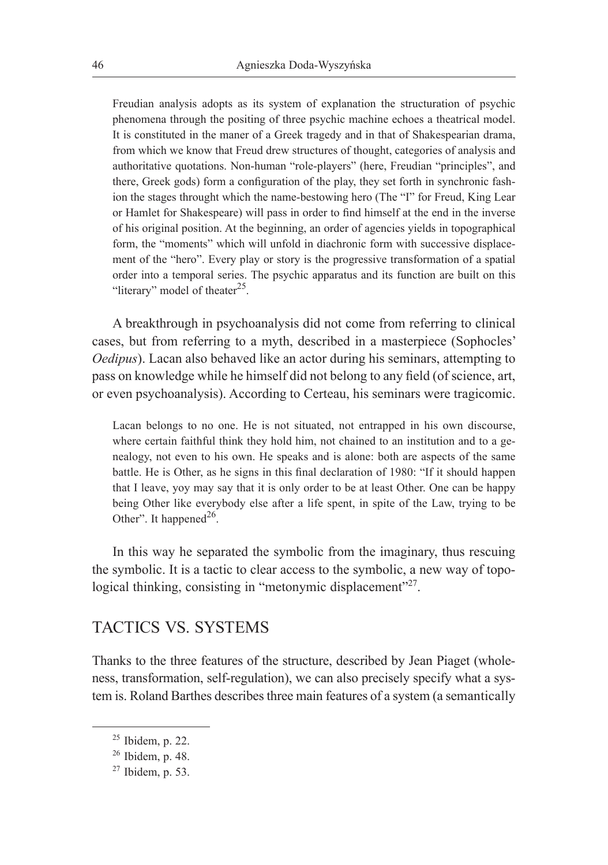Freudian analysis adopts as its system of explanation the structuration of psychic phenomena through the positing of three psychic machine echoes a theatrical model. It is constituted in the maner of a Greek tragedy and in that of Shakespearian drama, from which we know that Freud drew structures of thought, categories of analysis and authoritative quotations. Non-human "role-players" (here, Freudian "principles", and there, Greek gods) form a configuration of the play, they set forth in synchronic fashion the stages throught which the name-bestowing hero (The "I" for Freud, King Lear or Hamlet for Shakespeare) will pass in order to find himself at the end in the inverse of his original position. At the beginning, an order of agencies yields in topographical form, the "moments" which will unfold in diachronic form with successive displacement of the "hero". Every play or story is the progressive transformation of a spatial order into a temporal series. The psychic apparatus and its function are built on this "literary" model of theater $25$ .

A breakthrough in psychoanalysis did not come from referring to clinical cases, but from referring to a myth, described in a masterpiece (Sophocles' *Oedipus*). Lacan also behaved like an actor during his seminars, attempting to pass on knowledge while he himself did not belong to any field (of science, art, or even psychoanalysis). According to Certeau, his seminars were tragicomic.

Lacan belongs to no one. He is not situated, not entrapped in his own discourse, where certain faithful think they hold him, not chained to an institution and to a genealogy, not even to his own. He speaks and is alone: both are aspects of the same battle. He is Other, as he signs in this final declaration of 1980: "If it should happen that I leave, yoy may say that it is only order to be at least Other. One can be happy being Other like everybody else after a life spent, in spite of the Law, trying to be Other". It happened $^{26}$ .

In this way he separated the symbolic from the imaginary, thus rescuing the symbolic. It is a tactic to clear access to the symbolic, a new way of topological thinking, consisting in "metonymic displacement"<sup>27</sup>.

## TACTICS VS. SYSTEMS

Thanks to the three features of the structure, described by Jean Piaget (wholeness, transformation, self-regulation), we can also precisely specify what a system is. Roland Barthes describes three main features of a system (a semantically

 $25$  Ibidem, p. 22.

<sup>26</sup> Ibidem, p. 48.

<sup>27</sup> Ibidem, p. 53.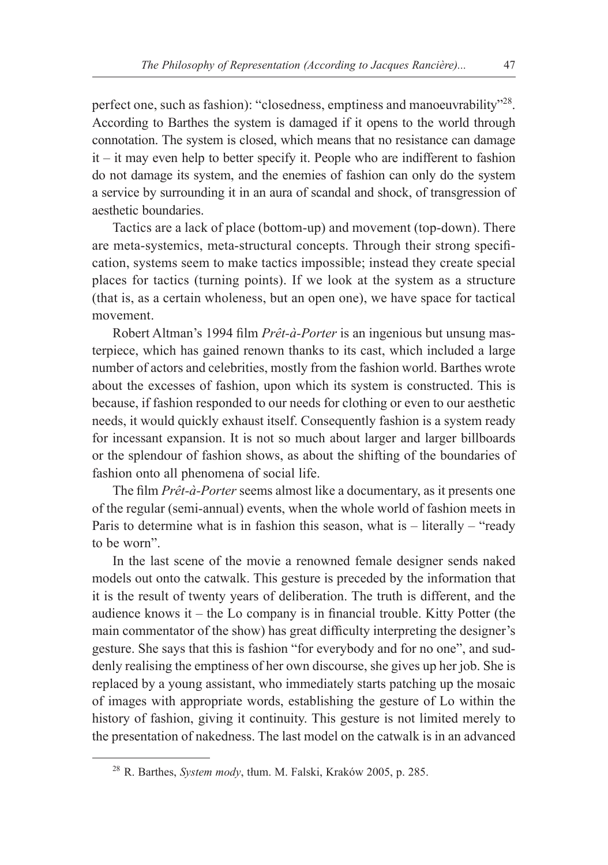perfect one, such as fashion): "closedness, emptiness and manoeuvrability"28. According to Barthes the system is damaged if it opens to the world through connotation. The system is closed, which means that no resistance can damage it – it may even help to better specify it. People who are indifferent to fashion do not damage its system, and the enemies of fashion can only do the system a service by surrounding it in an aura of scandal and shock, of transgression of aesthetic boundaries.

Tactics are a lack of place (bottom-up) and movement (top-down). There are meta-systemics, meta-structural concepts. Through their strong specification, systems seem to make tactics impossible; instead they create special places for tactics (turning points). If we look at the system as a structure (that is, as a certain wholeness, but an open one), we have space for tactical movement.

Robert Altman's 1994 film *Prêt-à-Porter* is an ingenious but unsung masterpiece, which has gained renown thanks to its cast, which included a large number of actors and celebrities, mostly from the fashion world. Barthes wrote about the excesses of fashion, upon which its system is constructed. This is because, if fashion responded to our needs for clothing or even to our aesthetic needs, it would quickly exhaust itself. Consequently fashion is a system ready for incessant expansion. It is not so much about larger and larger billboards or the splendour of fashion shows, as about the shifting of the boundaries of fashion onto all phenomena of social life.

The film *Prêt-à-Porter* seems almost like a documentary, as it presents one of the regular (semi-annual) events, when the whole world of fashion meets in Paris to determine what is in fashion this season, what is – literally – "ready to be worn".

In the last scene of the movie a renowned female designer sends naked models out onto the catwalk. This gesture is preceded by the information that it is the result of twenty years of deliberation. The truth is different, and the audience knows it – the Lo company is in financial trouble. Kitty Potter (the main commentator of the show) has great difficulty interpreting the designer's gesture. She says that this is fashion "for everybody and for no one", and suddenly realising the emptiness of her own discourse, she gives up her job. She is replaced by a young assistant, who immediately starts patching up the mosaic of images with appropriate words, establishing the gesture of Lo within the history of fashion, giving it continuity. This gesture is not limited merely to the presentation of nakedness. The last model on the catwalk is in an advanced

<sup>28</sup> R. Barthes, *System mody*, tłum. M. Falski, Kraków 2005, p. 285.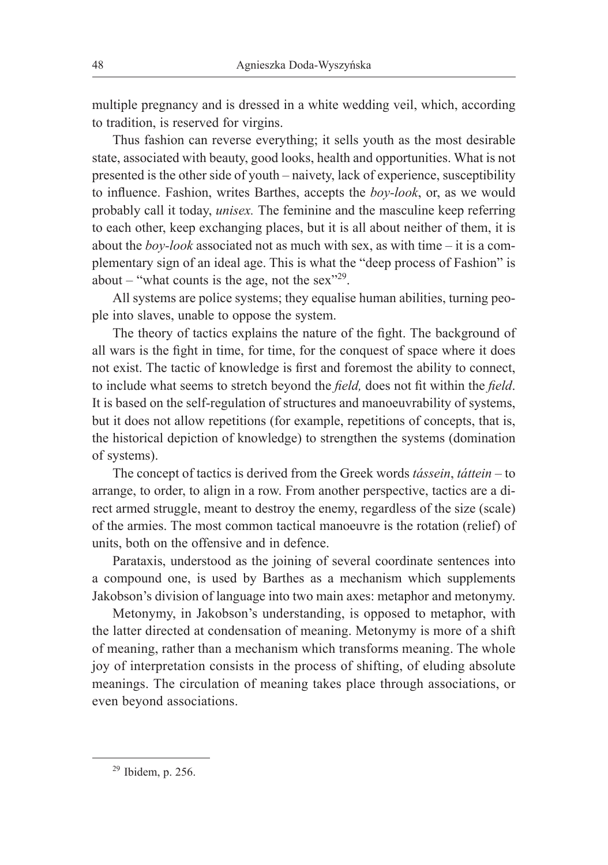multiple pregnancy and is dressed in a white wedding veil, which, according to tradition, is reserved for virgins.

Thus fashion can reverse everything; it sells youth as the most desirable state, associated with beauty, good looks, health and opportunities. What is not presented is the other side of youth – naivety, lack of experience, susceptibility to influence. Fashion, writes Barthes, accepts the *boy-look*, or, as we would probably call it today, *unisex.* The feminine and the masculine keep referring to each other, keep exchanging places, but it is all about neither of them, it is about the *boy-look* associated not as much with sex, as with time – it is a complementary sign of an ideal age. This is what the "deep process of Fashion" is about – "what counts is the age, not the sex"<sup>29</sup>.

All systems are police systems; they equalise human abilities, turning people into slaves, unable to oppose the system.

The theory of tactics explains the nature of the fight. The background of all wars is the fight in time, for time, for the conquest of space where it does not exist. The tactic of knowledge is first and foremost the ability to connect, to include what seems to stretch beyond the *field,* does not fit within the *field*. It is based on the self-regulation of structures and manoeuvrability of systems, but it does not allow repetitions (for example, repetitions of concepts, that is, the historical depiction of knowledge) to strengthen the systems (domination of systems).

The concept of tactics is derived from the Greek words *tássein*, *táttein –* to arrange, to order, to align in a row. From another perspective, tactics are a direct armed struggle, meant to destroy the enemy, regardless of the size (scale) of the armies. The most common tactical manoeuvre is the rotation (relief) of units, both on the offensive and in defence.

Parataxis, understood as the joining of several coordinate sentences into a compound one, is used by Barthes as a mechanism which supplements Jakobson's division of language into two main axes: metaphor and metonymy.

Metonymy, in Jakobson's understanding, is opposed to metaphor, with the latter directed at condensation of meaning. Metonymy is more of a shift of meaning, rather than a mechanism which transforms meaning. The whole joy of interpretation consists in the process of shifting, of eluding absolute meanings. The circulation of meaning takes place through associations, or even beyond associations.

 $29$  Ibidem, p. 256.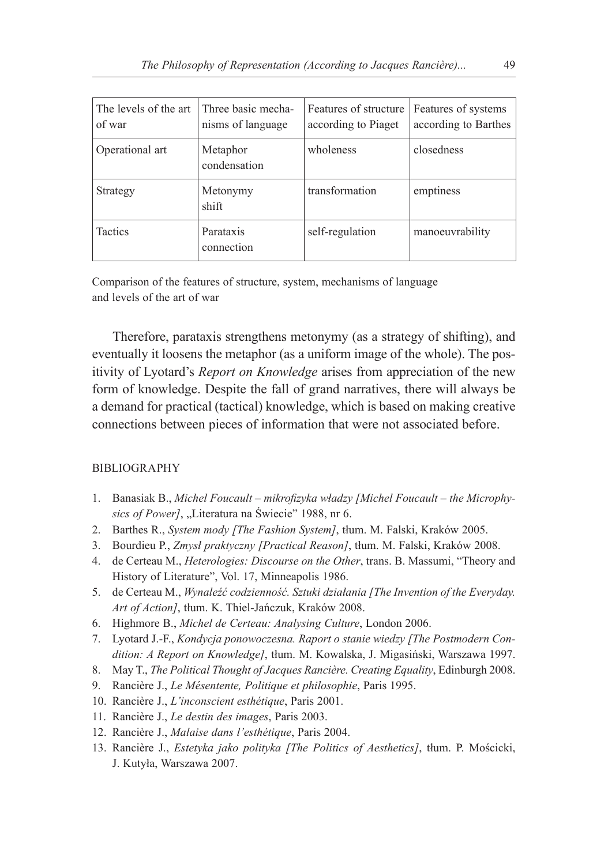| The levels of the art<br>of war | Three basic mecha-<br>nisms of language | Features of structure<br>according to Piaget | Features of systems<br>according to Barthes |
|---------------------------------|-----------------------------------------|----------------------------------------------|---------------------------------------------|
| Operational art                 | Metaphor<br>condensation                | wholeness                                    | closedness                                  |
| Strategy                        | Metonymy<br>shift                       | transformation                               | emptiness                                   |
| <b>Tactics</b>                  | Parataxis<br>connection                 | self-regulation                              | manoeuvrability                             |

Comparison of the features of structure, system, mechanisms of language and levels of the art of war

Therefore, parataxis strengthens metonymy (as a strategy of shifting), and eventually it loosens the metaphor (as a uniform image of the whole). The positivity of Lyotard's *Report on Knowledge* arises from appreciation of the new form of knowledge. Despite the fall of grand narratives, there will always be a demand for practical (tactical) knowledge, which is based on making creative connections between pieces of information that were not associated before.

### BIBLIOGRAPHY

- 1. Banasiak B., *Michel Foucault mikrofizyka władzy [Michel Foucault the Microphysics of Power]*, "Literatura na Świecie" 1988, nr 6.
- 2. Barthes R., *System mody [The Fashion System]*, tłum. M. Falski, Kraków 2005.
- 3. Bourdieu P., *Zmysł praktyczny [Practical Reason]*, tłum. M. Falski, Kraków 2008.
- 4. de Certeau M., *Heterologies: Discourse on the Other*, trans. B. Massumi, "Theory and History of Literature", Vol. 17, Minneapolis 1986.
- 5. de Certeau M., *Wynaleźć codzienność. Sztuki działania [The Invention of the Everyday. Art of Action]*, tłum. K. Thiel-Jańczuk, Kraków 2008.
- 6. Highmore B., *Michel de Certeau: Analysing Culture*, London 2006.
- 7. Lyotard J.-F., *Kondycja ponowoczesna. Raport o stanie wiedzy [The Postmodern Condition: A Report on Knowledge]*, tłum. M. Kowalska, J. Migasiński, Warszawa 1997.
- 8. May T., *The Political Thought of Jacques Rancière. Creating Equality*, Edinburgh 2008.
- 9. Rancière J., *Le Mésentente, Politique et philosophie*, Paris 1995.
- 10. Rancière J., *L'inconscient esthétique*, Paris 2001.
- 11. Rancière J., *Le destin des images*, Paris 2003.
- 12. Rancière J., *Malaise dans l'esthétique*, Paris 2004.
- 13. Rancière J., *Estetyka jako polityka [The Politics of Aesthetics]*, tłum. P. Mościcki, J. Kutyła, Warszawa 2007.